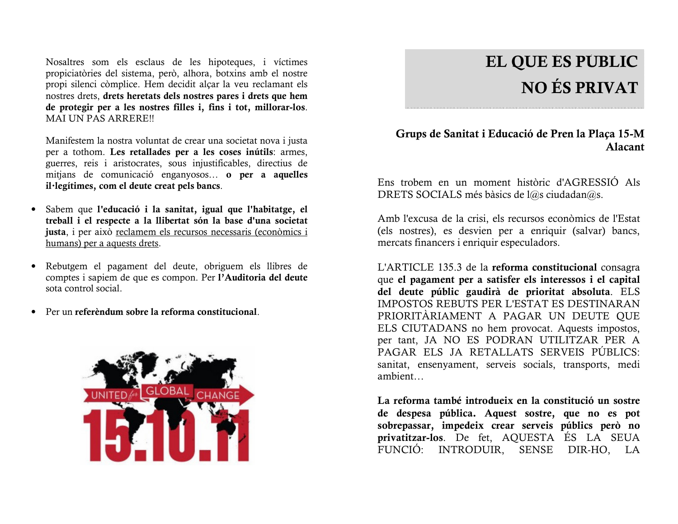Nosaltres som els esclaus de les hipoteques, i víctimes propiciatòries del sistema, però, alhora, botxins amb el nostre propi silenci còmplice. Hem decidit alcar la veu reclamant els nostres drets, drets heretats dels nostres pares i drets que hem de protegir per a les nostres filles i, fins i tot, millorar-los. **MAI UN PAS ARRERE!!** 

Manifestem la nostra voluntat de crear una societat nova i justa per a tothom. Les retallades per a les coses inútils: armes. guerres, reis i aristocrates, sous injustificables, directius de mitjans de comunicació enganyosos... o per a aquelles il·legítimes, com el deute creat pels bancs.

- · Sabem que l'educació i la sanitat, igual que l'habitatge, el treball i el respecte a la llibertat són la base d'una societat justa, i per això reclamem els recursos necessaris (econòmics i humans) per a aquests drets.
- Rebutgem el pagament del deute, obriguem els llibres de  $\bullet$ comptes i sapiem de que es compon. Per l'Auditoria del deute sota control social.
- Per un referèndum sobre la reforma constitucional.  $\bullet$



# EL QUE ES PUBLIC **NO ÉS PRIVAT**

## Grups de Sanitat i Educació de Pren la Plaça 15-M **Alacant**

Ens trobem en un moment històric d'AGRESSIO Als DRETS SOCIALS més bàsics de l@s ciudadan@s.

Amb l'excusa de la crisi, els recursos econòmics de l'Estat (els nostres), es desvien per a enriquir (salvar) bancs, mercats financers i enriquir especuladors.

L'ARTICLE 135.3 de la reforma constitucional consagra que el pagament per a satisfer els interessos i el capital del deute públic gaudirà de prioritat absoluta. ELS **IMPOSTOS REBUTS PER L'ESTAT ES DESTINARAN** PRIORITÀRIAMENT A PAGAR UN DEUTE QUE ELS CIUTADANS no hem provocat. Aquests impostos, per tant, JA NO ES PODRAN UTILITZAR PER A PAGAR ELS JA RETALLATS SERVEIS PÚBLICS: sanitat, ensenyament, serveis socials, transports, medi ambient...

La reforma també introdueix en la constitució un sostre de despesa pública. Aquest sostre, que no es pot sobrepassar, impedeix crear serveis públics però no privatitzar-los. De fet, AQUESTA ÉS LA SEUA FUNCIÓ: INTRODUIR, SENSE DIR-HO, LA